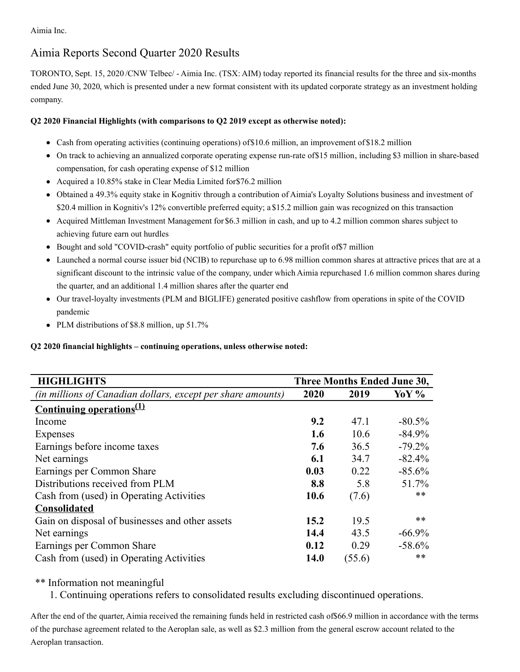Aimia Inc.

# Aimia Reports Second Quarter 2020 Results

TORONTO, Sept. 15, 2020 /CNW Telbec/ - Aimia Inc. (TSX: AIM) today reported its financial results for the three and six-months ended June 30, 2020, which is presented under a new format consistent with its updated corporate strategy as an investment holding company.

# **Q2 2020 Financial Highlights (with comparisons to Q2 2019 except as otherwise noted):**

- Cash from operating activities (continuing operations) of \$10.6 million, an improvement of \$18.2 million
- On track to achieving an annualized corporate operating expense run-rate of\$15 million, including \$3 million in share-based compensation, for cash operating expense of \$12 million
- Acquired a 10.85% stake in Clear Media Limited for\$76.2 million
- Obtained a 49.3% equity stake in Kognitiv through a contribution of Aimia's Loyalty Solutions business and investment of \$20.4 million in Kognitiv's 12% convertible preferred equity; a \$15.2 million gain was recognized on this transaction
- Acquired Mittleman Investment Management for \$6.3 million in cash, and up to 4.2 million common shares subject to achieving future earn out hurdles
- Bought and sold "COVID-crash" equity portfolio of public securities for a profit of\$7 million
- Launched a normal course issuer bid (NCIB) to repurchase up to 6.98 million common shares at attractive prices that are at a significant discount to the intrinsic value of the company, under which Aimia repurchased 1.6 million common shares during the quarter, and an additional 1.4 million shares after the quarter end
- Our travel-loyalty investments (PLM and BIGLIFE) generated positive cashflow from operations in spite of the COVID pandemic
- PLM distributions of \$8.8 million, up 51.7%

**Q2 2020 financial highlights – continuing operations, unless otherwise noted:**

| <b>HIGHLIGHTS</b>                                                  | Three Months Ended June 30, |        |           |
|--------------------------------------------------------------------|-----------------------------|--------|-----------|
| <i>(in millions of Canadian dollars, except per share amounts)</i> | 2020                        | 2019   | Yo Y %    |
| <u>Continuing operations<sup>(1)</sup></u>                         |                             |        |           |
| Income                                                             | 9.2                         | 47.1   | $-80.5\%$ |
| Expenses                                                           | 1.6                         | 10.6   | $-84.9\%$ |
| Earnings before income taxes                                       | 7.6                         | 36.5   | $-79.2\%$ |
| Net earnings                                                       | 6.1                         | 34.7   | $-82.4%$  |
| Earnings per Common Share                                          | 0.03                        | 0.22   | $-85.6%$  |
| Distributions received from PLM                                    | 8.8                         | 5.8    | 51.7%     |
| Cash from (used) in Operating Activities                           | 10.6                        | (7.6)  | $***$     |
| <b>Consolidated</b>                                                |                             |        |           |
| Gain on disposal of businesses and other assets                    | 15.2                        | 19.5   | **        |
| Net earnings                                                       | 14.4                        | 43.5   | $-66.9\%$ |
| Earnings per Common Share                                          | 0.12                        | 0.29   | $-58.6%$  |
| Cash from (used) in Operating Activities                           | 14.0                        | (55.6) | $***$     |

# \*\* Information not meaningful

1. Continuing operations refers to consolidated results excluding discontinued operations.

After the end of the quarter, Aimia received the remaining funds held in restricted cash of\$66.9 million in accordance with the terms of the purchase agreement related to the Aeroplan sale, as well as \$2.3 million from the general escrow account related to the Aeroplan transaction.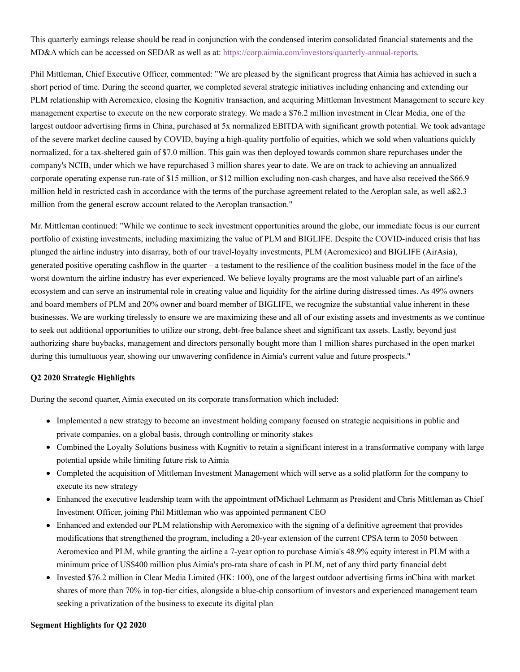This quarterly earnings release should be read in conjunction with the condensed interim consolidated financial statements and the MD&A which can be accessed on SEDAR as well as at: [https://corp.aimia.com/investors/quarterly-annual-reports](https://c212.net/c/link/?t=0&l=en&o=2915287-1&h=1528779129&u=https%3A%2F%2Fcorp.aimia.com%2Finvestors%2Fquarterly-annual-reports&a=https%3A%2F%2Fcorp.aimia.com%2Finvestors%2Fquarterly-annual-reports).

Phil Mittleman, Chief Executive Officer, commented: "We are pleased by the significant progress that Aimia has achieved in such a short period of time. During the second quarter, we completed several strategic initiatives including enhancing and extending our PLM relationship with Aeromexico, closing the Kognitiv transaction, and acquiring Mittleman Investment Management to secure key management expertise to execute on the new corporate strategy. We made a \$76.2 million investment in Clear Media, one of the largest outdoor advertising firms in China, purchased at 5x normalized EBITDA with significant growth potential. We took advantage of the severe market decline caused by COVID, buying a high-quality portfolio of equities, which we sold when valuations quickly normalized, for a tax-sheltered gain of \$7.0 million. This gain was then deployed towards common share repurchases under the company's NCIB, under which we have repurchased 3 million shares year to date. We are on track to achieving an annualized corporate operating expense run-rate of \$15 million, or \$12 million excluding non-cash charges, and have also received the \$66.9 million held in restricted cash in accordance with the terms of the purchase agreement related to the Aeroplan sale, as well a\$2.3 million from the general escrow account related to the Aeroplan transaction."

Mr. Mittleman continued: "While we continue to seek investment opportunities around the globe, our immediate focus is our current portfolio of existing investments, including maximizing the value of PLM and BIGLIFE. Despite the COVID-induced crisis that has plunged the airline industry into disarray, both of our travel-loyalty investments, PLM (Aeromexico) and BIGLIFE (AirAsia), generated positive operating cashflow in the quarter – a testament to the resilience of the coalition business model in the face of the worst downturn the airline industry has ever experienced. We believe loyalty programs are the most valuable part of an airline's ecosystem and can serve an instrumental role in creating value and liquidity for the airline during distressed times. As 49% owners and board members of PLM and 20% owner and board member of BIGLIFE, we recognize the substantial value inherent in these businesses. We are working tirelessly to ensure we are maximizing these and all of our existing assets and investments as we continue to seek out additional opportunities to utilize our strong, debt-free balance sheet and significant tax assets. Lastly, beyond just authorizing share buybacks, management and directors personally bought more than 1 million shares purchased in the open market during this tumultuous year, showing our unwavering confidence in Aimia's current value and future prospects."

## **Q2 2020 Strategic Highlights**

During the second quarter, Aimia executed on its corporate transformation which included:

- Implemented a new strategy to become an investment holding company focused on strategic acquisitions in public and private companies, on a global basis, through controlling or minority stakes
- Combined the Loyalty Solutions business with Kognitiv to retain a significant interest in a transformative company with large potential upside while limiting future risk to Aimia
- Completed the acquisition of Mittleman Investment Management which will serve as a solid platform for the company to execute its new strategy
- Enhanced the executive leadership team with the appointment ofMichael Lehmann as President and Chris Mittleman as Chief Investment Officer, joining Phil Mittleman who was appointed permanent CEO
- Enhanced and extended our PLM relationship with Aeromexico with the signing of a definitive agreement that provides modifications that strengthened the program, including a 20-year extension of the current CPSA term to 2050 between Aeromexico and PLM, while granting the airline a 7-year option to purchase Aimia's 48.9% equity interest in PLM with a minimum price of US\$400 million plus Aimia's pro-rata share of cash in PLM, net of any third party financial debt
- Invested \$76.2 million in Clear Media Limited (HK: 100), one of the largest outdoor advertising firms inChina with market shares of more than 70% in top-tier cities, alongside a blue-chip consortium of investors and experienced management team seeking a privatization of the business to execute its digital plan

#### **Segment Highlights for Q2 2020**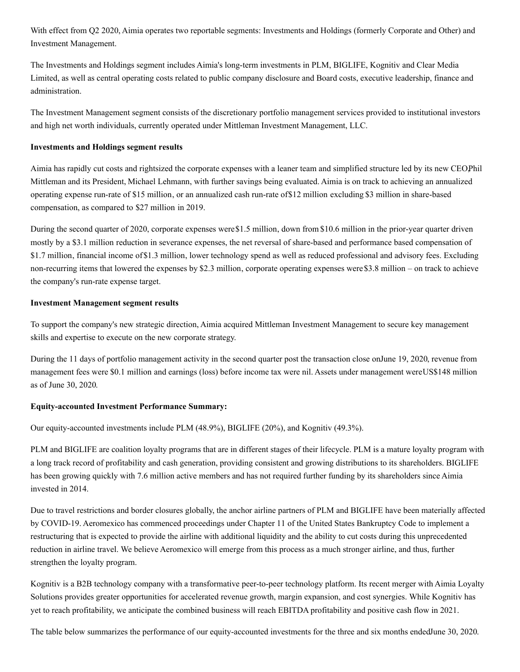With effect from Q2 2020, Aimia operates two reportable segments: Investments and Holdings (formerly Corporate and Other) and Investment Management.

The Investments and Holdings segment includes Aimia's long-term investments in PLM, BIGLIFE, Kognitiv and Clear Media Limited, as well as central operating costs related to public company disclosure and Board costs, executive leadership, finance and administration.

The Investment Management segment consists of the discretionary portfolio management services provided to institutional investors and high net worth individuals, currently operated under Mittleman Investment Management, LLC.

#### **Investments and Holdings segment results**

Aimia has rapidly cut costs and rightsized the corporate expenses with a leaner team and simplified structure led by its new CEO,Phil Mittleman and its President, Michael Lehmann, with further savings being evaluated. Aimia is on track to achieving an annualized operating expense run-rate of \$15 million, or an annualized cash run-rate of\$12 million excluding \$3 million in share-based compensation, as compared to \$27 million in 2019.

During the second quarter of 2020, corporate expenses were\$1.5 million, down from \$10.6 million in the prior-year quarter driven mostly by a \$3.1 million reduction in severance expenses, the net reversal of share-based and performance based compensation of \$1.7 million, financial income of\$1.3 million, lower technology spend as well as reduced professional and advisory fees. Excluding non-recurring items that lowered the expenses by \$2.3 million, corporate operating expenses were\$3.8 million – on track to achieve the company's run-rate expense target.

### **Investment Management segment results**

To support the company's new strategic direction, Aimia acquired Mittleman Investment Management to secure key management skills and expertise to execute on the new corporate strategy.

During the 11 days of portfolio management activity in the second quarter post the transaction close onJune 19, 2020, revenue from management fees were \$0.1 million and earnings (loss) before income tax were nil. Assets under management wereUS\$148 million as of June 30, 2020.

#### **Equity-accounted Investment Performance Summary:**

Our equity-accounted investments include PLM (48.9%), BIGLIFE (20%), and Kognitiv (49.3%).

PLM and BIGLIFE are coalition loyalty programs that are in different stages of their lifecycle. PLM is a mature loyalty program with a long track record of profitability and cash generation, providing consistent and growing distributions to its shareholders. BIGLIFE has been growing quickly with 7.6 million active members and has not required further funding by its shareholders since Aimia invested in 2014.

Due to travel restrictions and border closures globally, the anchor airline partners of PLM and BIGLIFE have been materially affected by COVID-19. Aeromexico has commenced proceedings under Chapter 11 of the United States Bankruptcy Code to implement a restructuring that is expected to provide the airline with additional liquidity and the ability to cut costs during this unprecedented reduction in airline travel. We believe Aeromexico will emerge from this process as a much stronger airline, and thus, further strengthen the loyalty program.

Kognitiv is a B2B technology company with a transformative peer-to-peer technology platform. Its recent merger with Aimia Loyalty Solutions provides greater opportunities for accelerated revenue growth, margin expansion, and cost synergies. While Kognitiv has yet to reach profitability, we anticipate the combined business will reach EBITDA profitability and positive cash flow in 2021.

The table below summarizes the performance of our equity-accounted investments for the three and six months endedJune 30, 2020.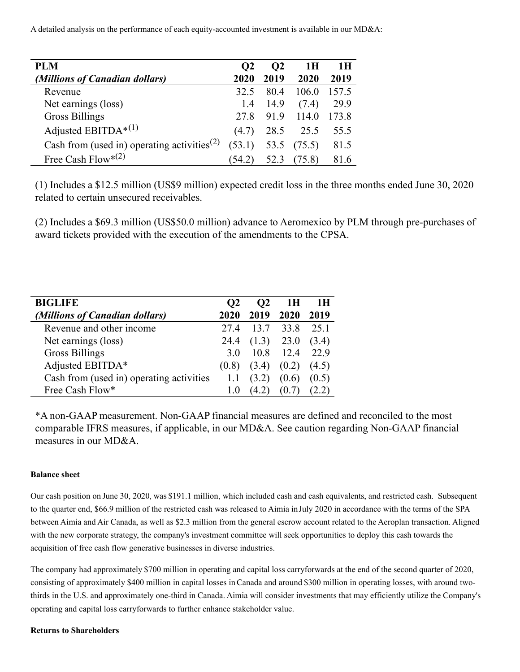A detailed analysis on the performance of each equity-accounted investment is available in our MD&A:

| PLM                                                     | $\Omega$ | O <sub>2</sub> | 1 H    | 1H    |
|---------------------------------------------------------|----------|----------------|--------|-------|
| (Millions of Canadian dollars)                          | 2020     | 2019           | 2020   | 2019  |
| Revenue                                                 | 32.5     | 80.4           | 106.0  | 157.5 |
| Net earnings (loss)                                     | 1.4      | 14.9           | (7.4)  | 29.9  |
| <b>Gross Billings</b>                                   | 27.8     | 91.9           | 114.0  | 173.8 |
| Adjusted EBITDA* $(1)$                                  | (4.7)    | 28.5           | 25.5   | 55.5  |
| Cash from (used in) operating activities <sup>(2)</sup> | (53.1)   | 53.5           | (75.5) | 81.5  |
| Free Cash Flow* <sup>(2)</sup>                          | 54.2)    |                | (5.8)  |       |

(1) Includes a \$12.5 million (US\$9 million) expected credit loss in the three months ended June 30, 2020 related to certain unsecured receivables.

(2) Includes a \$69.3 million (US\$50.0 million) advance to Aeromexico by PLM through pre-purchases of award tickets provided with the execution of the amendments to the CPSA.

| <b>BIGLIFE</b>                           | O <sub>2</sub> | O <sub>2</sub> | 1H    | 1 H   |
|------------------------------------------|----------------|----------------|-------|-------|
| (Millions of Canadian dollars)           | 2020           | 2019           | 2020  | 2019  |
| Revenue and other income                 | 27.4           | 13.7           | 33.8  | 25.1  |
| Net earnings (loss)                      | 24.4           | (1.3)          | 23.0  | (3.4) |
| <b>Gross Billings</b>                    | 3.O            | 10.8           | 12.4  | 22.9  |
| Adjusted EBITDA*                         | (0.8)          | (3.4)          | (0.2) | (4.5) |
| Cash from (used in) operating activities |                | (3.2)          | (0.6) | (0.5) |
| Free Cash Flow*                          |                |                |       |       |

\*A non-GAAP measurement. Non-GAAP financial measures are defined and reconciled to the most comparable IFRS measures, if applicable, in our MD&A. See caution regarding Non-GAAP financial measures in our MD&A.

### **Balance sheet**

Our cash position on June 30, 2020, was \$191.1 million, which included cash and cash equivalents, and restricted cash. Subsequent to the quarter end, \$66.9 million of the restricted cash was released to Aimia inJuly 2020 in accordance with the terms of the SPA between Aimia and Air Canada, as well as \$2.3 million from the general escrow account related to the Aeroplan transaction. Aligned with the new corporate strategy, the company's investment committee will seek opportunities to deploy this cash towards the acquisition of free cash flow generative businesses in diverse industries.

The company had approximately \$700 million in operating and capital loss carryforwards at the end of the second quarter of 2020, consisting of approximately \$400 million in capital losses in Canada and around \$300 million in operating losses, with around twothirds in the U.S. and approximately one-third in Canada. Aimia will consider investments that may efficiently utilize the Company's operating and capital loss carryforwards to further enhance stakeholder value.

### **Returns to Shareholders**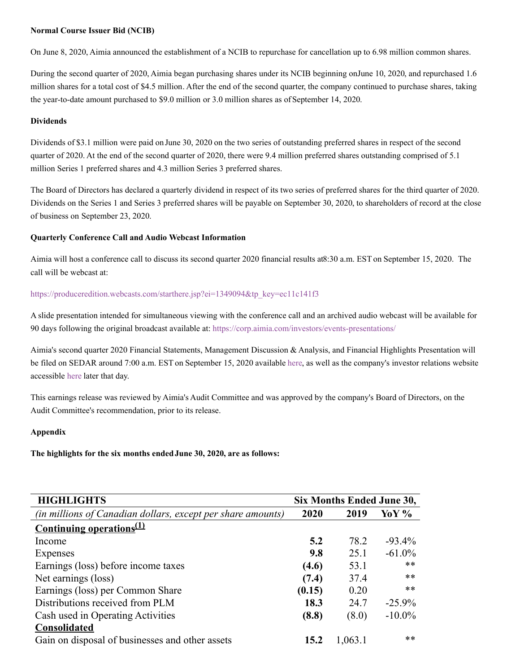### **Normal Course Issuer Bid (NCIB)**

On June 8, 2020, Aimia announced the establishment of a NCIB to repurchase for cancellation up to 6.98 million common shares.

During the second quarter of 2020, Aimia began purchasing shares under its NCIB beginning onJune 10, 2020, and repurchased 1.6 million shares for a total cost of \$4.5 million. After the end of the second quarter, the company continued to purchase shares, taking the year-to-date amount purchased to \$9.0 million or 3.0 million shares as of September 14, 2020.

#### **Dividends**

Dividends of \$3.1 million were paid on June 30, 2020 on the two series of outstanding preferred shares in respect of the second quarter of 2020. At the end of the second quarter of 2020, there were 9.4 million preferred shares outstanding comprised of 5.1 million Series 1 preferred shares and 4.3 million Series 3 preferred shares.

The Board of Directors has declared a quarterly dividend in respect of its two series of preferred shares for the third quarter of 2020. Dividends on the Series 1 and Series 3 preferred shares will be payable on September 30, 2020, to shareholders of record at the close of business on September 23, 2020.

### **Quarterly Conference Call and Audio Webcast Information**

Aimia will host a conference call to discuss its second quarter 2020 financial results at8:30 a.m. EST on September 15, 2020. The call will be webcast at:

### [https://produceredition.webcasts.com/starthere.jsp?ei=1349094&tp\\_key=ec11c141f3](https://c212.net/c/link/?t=0&l=en&o=2915287-1&h=802019363&u=https%3A%2F%2Fproduceredition.webcasts.com%2Fstarthere.jsp%3Fei%3D1349094%26tp_key%3Dec11c141f3&a=https%3A%2F%2Fproduceredition.webcasts.com%2Fstarthere.jsp%3Fei%3D1349094%26tp_key%3Dec11c141f3)

A slide presentation intended for simultaneous viewing with the conference call and an archived audio webcast will be available for 90 days following the original broadcast available at: [https://corp.aimia.com/investors/events-presentations/](https://c212.net/c/link/?t=0&l=en&o=2915287-1&h=881063550&u=https%3A%2F%2Fcorp.aimia.com%2Finvestors%2Fevents-presentations%2F&a=https%3A%2F%2Fcorp.aimia.com%2Finvestors%2Fevents-presentations%2F)

Aimia's second quarter 2020 Financial Statements, Management Discussion & Analysis, and Financial Highlights Presentation will be filed on SEDAR around 7:00 a.m. EST on September 15, 2020 available [here](https://c212.net/c/link/?t=0&l=en&o=2915287-1&h=1930387786&u=https%3A%2F%2Fbit.ly%2F32QYAyv&a=here), as well as the company's investor relations website accessible [here](https://c212.net/c/link/?t=0&l=en&o=2915287-1&h=2046776988&u=https%3A%2F%2Fcorp.aimia.com%2Finvestors%2Fquarterly-annual-reports%2F&a=here) later that day.

This earnings release was reviewed by Aimia's Audit Committee and was approved by the company's Board of Directors, on the Audit Committee's recommendation, prior to its release.

### **Appendix**

**The highlights for the six months endedJune 30, 2020, are as follows:**

| <b>HIGHLIGHTS</b>                                           | Six Months Ended June 30, |         |           |
|-------------------------------------------------------------|---------------------------|---------|-----------|
| (in millions of Canadian dollars, except per share amounts) | 2020                      | 2019    | Yo Y %    |
| <u>Continuing operations<sup>(1)</sup></u>                  |                           |         |           |
| Income                                                      | 5.2                       | 78.2    | $-93.4\%$ |
| Expenses                                                    | 9.8                       | 25.1    | $-61.0\%$ |
| Earnings (loss) before income taxes                         | (4.6)                     | 53.1    | **        |
| Net earnings (loss)                                         | (7.4)                     | 37.4    | **        |
| Earnings (loss) per Common Share                            | (0.15)                    | 0.20    | **        |
| Distributions received from PLM                             | 18.3                      | 24.7    | $-25.9\%$ |
| Cash used in Operating Activities                           | (8.8)                     | (8.0)   | $-10.0\%$ |
| <b>Consolidated</b>                                         |                           |         |           |
| Gain on disposal of businesses and other assets             | 15.2                      | 1,063.1 | **        |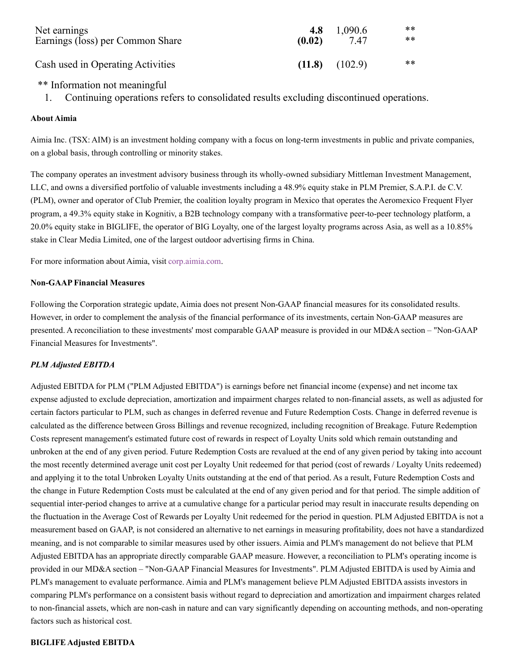| Net earnings                      | 4.8    | 1,090.6 | ** |
|-----------------------------------|--------|---------|----|
| Earnings (loss) per Common Share  | (0.02) | 7.47    | ** |
| Cash used in Operating Activities | (11.8) | (102.9) | ** |

# \*\* Information not meaningful

1. Continuing operations refers to consolidated results excluding discontinued operations.

## **About Aimia**

Aimia Inc. (TSX: AIM) is an investment holding company with a focus on long-term investments in public and private companies, on a global basis, through controlling or minority stakes.

The company operates an investment advisory business through its wholly-owned subsidiary Mittleman Investment Management, LLC, and owns a diversified portfolio of valuable investments including a 48.9% equity stake in PLM Premier, S.A.P.I. de C.V. (PLM), owner and operator of Club Premier, the coalition loyalty program in Mexico that operates the Aeromexico Frequent Flyer program, a 49.3% equity stake in Kognitiv, a B2B technology company with a transformative peer-to-peer technology platform, a 20.0% equity stake in BIGLIFE, the operator of BIG Loyalty, one of the largest loyalty programs across Asia, as well as a 10.85% stake in Clear Media Limited, one of the largest outdoor advertising firms in China.

For more information about Aimia, visit [corp.aimia.com](https://c212.net/c/link/?t=0&l=en&o=2915287-1&h=3101650643&u=https%3A%2F%2Fcorp.aimia.com%2F&a=corp.aimia.com).

## **Non-GAAP Financial Measures**

Following the Corporation strategic update, Aimia does not present Non-GAAP financial measures for its consolidated results. However, in order to complement the analysis of the financial performance of its investments, certain Non-GAAP measures are presented. A reconciliation to these investments' most comparable GAAP measure is provided in our MD&A section – "Non-GAAP Financial Measures for Investments".

## *PLM Adjusted EBITDA*

Adjusted EBITDA for PLM ("PLM Adjusted EBITDA") is earnings before net financial income (expense) and net income tax expense adjusted to exclude depreciation, amortization and impairment charges related to non-financial assets, as well as adjusted for certain factors particular to PLM, such as changes in deferred revenue and Future Redemption Costs. Change in deferred revenue is calculated as the difference between Gross Billings and revenue recognized, including recognition of Breakage. Future Redemption Costs represent management's estimated future cost of rewards in respect of Loyalty Units sold which remain outstanding and unbroken at the end of any given period. Future Redemption Costs are revalued at the end of any given period by taking into account the most recently determined average unit cost per Loyalty Unit redeemed for that period (cost of rewards / Loyalty Units redeemed) and applying it to the total Unbroken Loyalty Units outstanding at the end of that period. As a result, Future Redemption Costs and the change in Future Redemption Costs must be calculated at the end of any given period and for that period. The simple addition of sequential inter-period changes to arrive at a cumulative change for a particular period may result in inaccurate results depending on the fluctuation in the Average Cost of Rewards per Loyalty Unit redeemed for the period in question. PLM Adjusted EBITDA is not a measurement based on GAAP, is not considered an alternative to net earnings in measuring profitability, does not have a standardized meaning, and is not comparable to similar measures used by other issuers. Aimia and PLM's management do not believe that PLM Adjusted EBITDA has an appropriate directly comparable GAAP measure. However, a reconciliation to PLM's operating income is provided in our MD&A section – "Non-GAAP Financial Measures for Investments". PLM Adjusted EBITDA is used by Aimia and PLM's management to evaluate performance. Aimia and PLM's management believe PLM Adjusted EBITDA assists investors in comparing PLM's performance on a consistent basis without regard to depreciation and amortization and impairment charges related to non-financial assets, which are non-cash in nature and can vary significantly depending on accounting methods, and non-operating factors such as historical cost.

### **BIGLIFE Adjusted EBITDA**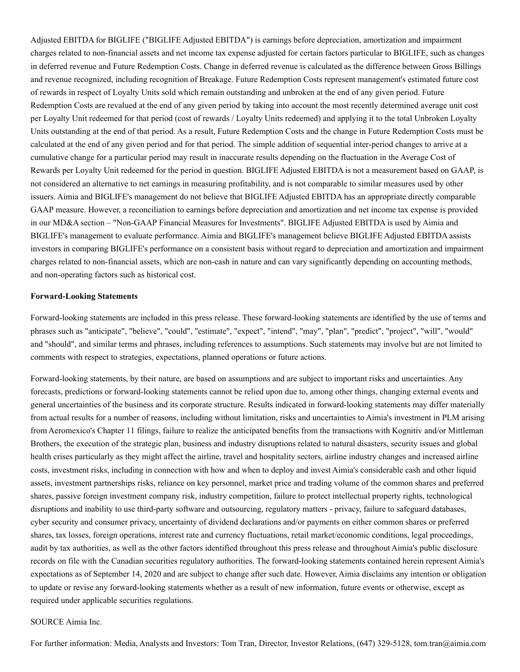Adjusted EBITDA for BIGLIFE ("BIGLIFE Adjusted EBITDA") is earnings before depreciation, amortization and impairment charges related to non-financial assets and net income tax expense adjusted for certain factors particular to BIGLIFE, such as changes in deferred revenue and Future Redemption Costs. Change in deferred revenue is calculated as the difference between Gross Billings and revenue recognized, including recognition of Breakage. Future Redemption Costs represent management's estimated future cost of rewards in respect of Loyalty Units sold which remain outstanding and unbroken at the end of any given period. Future Redemption Costs are revalued at the end of any given period by taking into account the most recently determined average unit cost per Loyalty Unit redeemed for that period (cost of rewards / Loyalty Units redeemed) and applying it to the total Unbroken Loyalty Units outstanding at the end of that period. As a result, Future Redemption Costs and the change in Future Redemption Costs must be calculated at the end of any given period and for that period. The simple addition of sequential inter-period changes to arrive at a cumulative change for a particular period may result in inaccurate results depending on the fluctuation in the Average Cost of Rewards per Loyalty Unit redeemed for the period in question. BIGLIFE Adjusted EBITDA is not a measurement based on GAAP, is not considered an alternative to net earnings in measuring profitability, and is not comparable to similar measures used by other issuers. Aimia and BIGLIFE's management do not believe that BIGLIFE Adjusted EBITDA has an appropriate directly comparable GAAP measure. However, a reconciliation to earnings before depreciation and amortization and net income tax expense is provided in our MD&A section – "Non-GAAP Financial Measures for Investments". BIGLIFE Adjusted EBITDA is used by Aimia and BIGLIFE's management to evaluate performance. Aimia and BIGLIFE's management believe BIGLIFE Adjusted EBITDA assists investors in comparing BIGLIFE's performance on a consistent basis without regard to depreciation and amortization and impairment charges related to non-financial assets, which are non-cash in nature and can vary significantly depending on accounting methods, and non-operating factors such as historical cost.

#### **Forward-Looking Statements**

Forward-looking statements are included in this press release. These forward-looking statements are identified by the use of terms and phrases such as "anticipate", "believe", "could", "estimate", "expect", "intend", "may", "plan", "predict", "project", "will", "would" and "should", and similar terms and phrases, including references to assumptions. Such statements may involve but are not limited to comments with respect to strategies, expectations, planned operations or future actions.

Forward-looking statements, by their nature, are based on assumptions and are subject to important risks and uncertainties. Any forecasts, predictions or forward-looking statements cannot be relied upon due to, among other things, changing external events and general uncertainties of the business and its corporate structure. Results indicated in forward-looking statements may differ materially from actual results for a number of reasons, including without limitation, risks and uncertainties to Aimia's investment in PLM arising from Aeromexico's Chapter 11 filings, failure to realize the anticipated benefits from the transactions with Kognitiv and/or Mittleman Brothers, the execution of the strategic plan, business and industry disruptions related to natural disasters, security issues and global health crises particularly as they might affect the airline, travel and hospitality sectors, airline industry changes and increased airline costs, investment risks, including in connection with how and when to deploy and invest Aimia's considerable cash and other liquid assets, investment partnerships risks, reliance on key personnel, market price and trading volume of the common shares and preferred shares, passive foreign investment company risk, industry competition, failure to protect intellectual property rights, technological disruptions and inability to use third-party software and outsourcing, regulatory matters - privacy, failure to safeguard databases, cyber security and consumer privacy, uncertainty of dividend declarations and/or payments on either common shares or preferred shares, tax losses, foreign operations, interest rate and currency fluctuations, retail market/economic conditions, legal proceedings, audit by tax authorities, as well as the other factors identified throughout this press release and throughout Aimia's public disclosure records on file with the Canadian securities regulatory authorities. The forward-looking statements contained herein represent Aimia's expectations as of September 14, 2020 and are subject to change after such date. However, Aimia disclaims any intention or obligation to update or revise any forward-looking statements whether as a result of new information, future events or otherwise, except as required under applicable securities regulations.

#### SOURCE Aimia Inc.

For further information: Media, Analysts and Investors: Tom Tran, Director, Investor Relations, (647) 329-5128, tom.tran@aimia.com